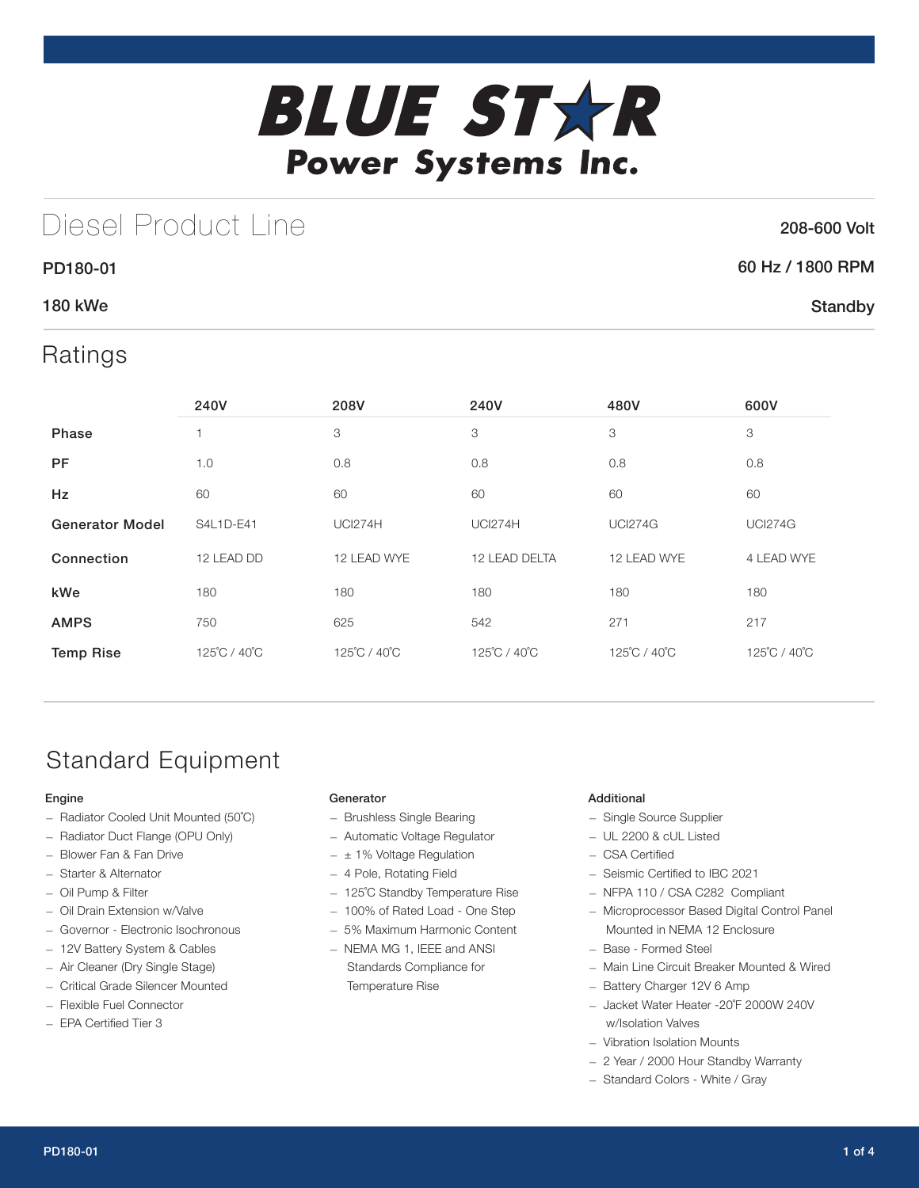

## Diesel Product Line

### 208-600 Volt

**Standby** 

# 60 Hz / 1800 RPM

### 180 kWe

PD180-01

### Ratings

|                        | 240V         | 208V           | 240V           | 480V           | 600V           |
|------------------------|--------------|----------------|----------------|----------------|----------------|
| Phase                  |              | 3              | 3              | 3              | 3              |
| <b>PF</b>              | 1.0          | 0.8            | 0.8            | 0.8            |                |
| Hz                     | 60           | 60             | 60             | 60             | 60             |
| <b>Generator Model</b> | S4L1D-E41    | <b>UCI274H</b> | <b>UCI274H</b> | <b>UCI274G</b> | <b>UCI274G</b> |
| Connection             | 12 LEAD DD   | 12 LEAD WYE    | 12 LEAD DELTA  | 12 LEAD WYE    | 4 LEAD WYE     |
| kWe                    | 180          | 180            | 180            | 180            | 180            |
| <b>AMPS</b>            | 750          | 625            | 542            | 271            | 217            |
| <b>Temp Rise</b>       | 125°C / 40°C | 125°C / 40°C   | 125°C / 40°C   | 125°C / 40°C   | 125°C / 40°C   |

## Standard Equipment

#### Engine

- Radiator Cooled Unit Mounted (50˚C)
- Radiator Duct Flange (OPU Only)
- Blower Fan & Fan Drive
- Starter & Alternator
- Oil Pump & Filter
- Oil Drain Extension w/Valve
- Governor Electronic Isochronous
- 12V Battery System & Cables
- Air Cleaner (Dry Single Stage)
- Critical Grade Silencer Mounted
- Flexible Fuel Connector
- EPA Certified Tier 3

#### Generator

- Brushless Single Bearing
- Automatic Voltage Regulator
- $\pm$  1% Voltage Regulation
- 4 Pole, Rotating Field
- 125˚C Standby Temperature Rise
- 100% of Rated Load One Step
- 5% Maximum Harmonic Content
- NEMA MG 1, IEEE and ANSI Standards Compliance for Temperature Rise

#### Additional

- Single Source Supplier
- UL 2200 & cUL Listed
- CSA Certified
- Seismic Certified to IBC 2021
- NFPA 110 / CSA C282 Compliant
- Microprocessor Based Digital Control Panel Mounted in NEMA 12 Enclosure
- Base Formed Steel
- Main Line Circuit Breaker Mounted & Wired
- Battery Charger 12V 6 Amp
- Jacket Water Heater -20˚F 2000W 240V w/Isolation Valves
- Vibration Isolation Mounts
- 2 Year / 2000 Hour Standby Warranty
- Standard Colors White / Gray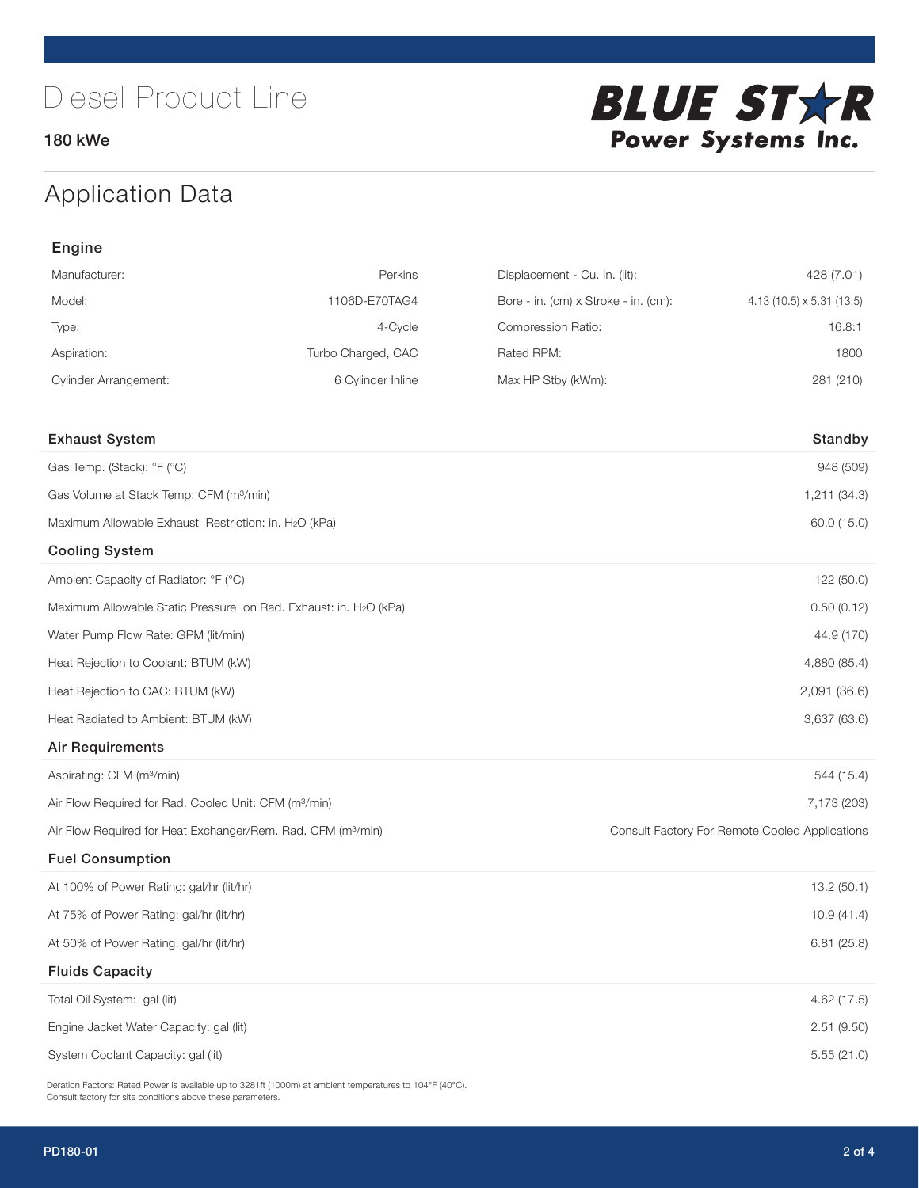180 kWe



## Application Data

| Engine                                                                   |                    |                                      |                                                |
|--------------------------------------------------------------------------|--------------------|--------------------------------------|------------------------------------------------|
| Manufacturer:                                                            | Perkins            | Displacement - Cu. In. (lit):        | 428 (7.01)                                     |
| Model:                                                                   | 1106D-E70TAG4      | Bore - in. (cm) x Stroke - in. (cm): | 4.13 (10.5) x 5.31 (13.5)                      |
| Type:                                                                    | 4-Cycle            | Compression Ratio:                   | 16.8:1                                         |
| Aspiration:                                                              | Turbo Charged, CAC | Rated RPM:                           | 1800                                           |
| <b>Cylinder Arrangement:</b>                                             | 6 Cylinder Inline  | Max HP Stby (kWm):                   | 281 (210)                                      |
| <b>Exhaust System</b>                                                    |                    |                                      | Standby                                        |
| Gas Temp. (Stack): °F (°C)                                               |                    |                                      | 948 (509)                                      |
| Gas Volume at Stack Temp: CFM (m <sup>3</sup> /min)                      |                    |                                      | 1,211 (34.3)                                   |
| Maximum Allowable Exhaust Restriction: in. H2O (kPa)                     |                    |                                      | 60.0 (15.0)                                    |
| <b>Cooling System</b>                                                    |                    |                                      |                                                |
| Ambient Capacity of Radiator: °F (°C)                                    |                    |                                      | 122 (50.0)                                     |
| Maximum Allowable Static Pressure on Rad. Exhaust: in. H2O (kPa)         |                    |                                      | 0.50(0.12)                                     |
| Water Pump Flow Rate: GPM (lit/min)                                      |                    |                                      | 44.9 (170)                                     |
| Heat Rejection to Coolant: BTUM (kW)                                     |                    |                                      | 4,880 (85.4)                                   |
| Heat Rejection to CAC: BTUM (kW)                                         |                    |                                      | 2,091 (36.6)                                   |
| Heat Radiated to Ambient: BTUM (kW)                                      |                    |                                      | 3,637 (63.6)                                   |
| <b>Air Requirements</b>                                                  |                    |                                      |                                                |
| Aspirating: CFM (m <sup>3</sup> /min)                                    |                    |                                      | 544 (15.4)                                     |
| Air Flow Required for Rad. Cooled Unit: CFM (m <sup>3</sup> /min)        |                    |                                      | 7,173 (203)                                    |
| Air Flow Required for Heat Exchanger/Rem. Rad. CFM (m <sup>3</sup> /min) |                    |                                      | Consult Factory For Remote Cooled Applications |
| <b>Fuel Consumption</b>                                                  |                    |                                      |                                                |
| At 100% of Power Rating: gal/hr (lit/hr)                                 |                    |                                      | 13.2(50.1)                                     |
| At 75% of Power Rating: gal/hr (lit/hr)                                  |                    |                                      | 10.9(41.4)                                     |
| At 50% of Power Rating: gal/hr (lit/hr)                                  |                    |                                      | 6.81(25.8)                                     |
| <b>Fluids Capacity</b>                                                   |                    |                                      |                                                |
| Total Oil System: gal (lit)                                              |                    |                                      | 4.62 (17.5)                                    |
| Engine Jacket Water Capacity: gal (lit)                                  |                    |                                      | 2.51 (9.50)                                    |
| System Coolant Capacity: gal (lit)                                       |                    |                                      | 5.55(21.0)                                     |

Deration Factors: Rated Power is available up to 3281ft (1000m) at ambient temperatures to 104°F (40°C). Consult factory for site conditions above these parameters.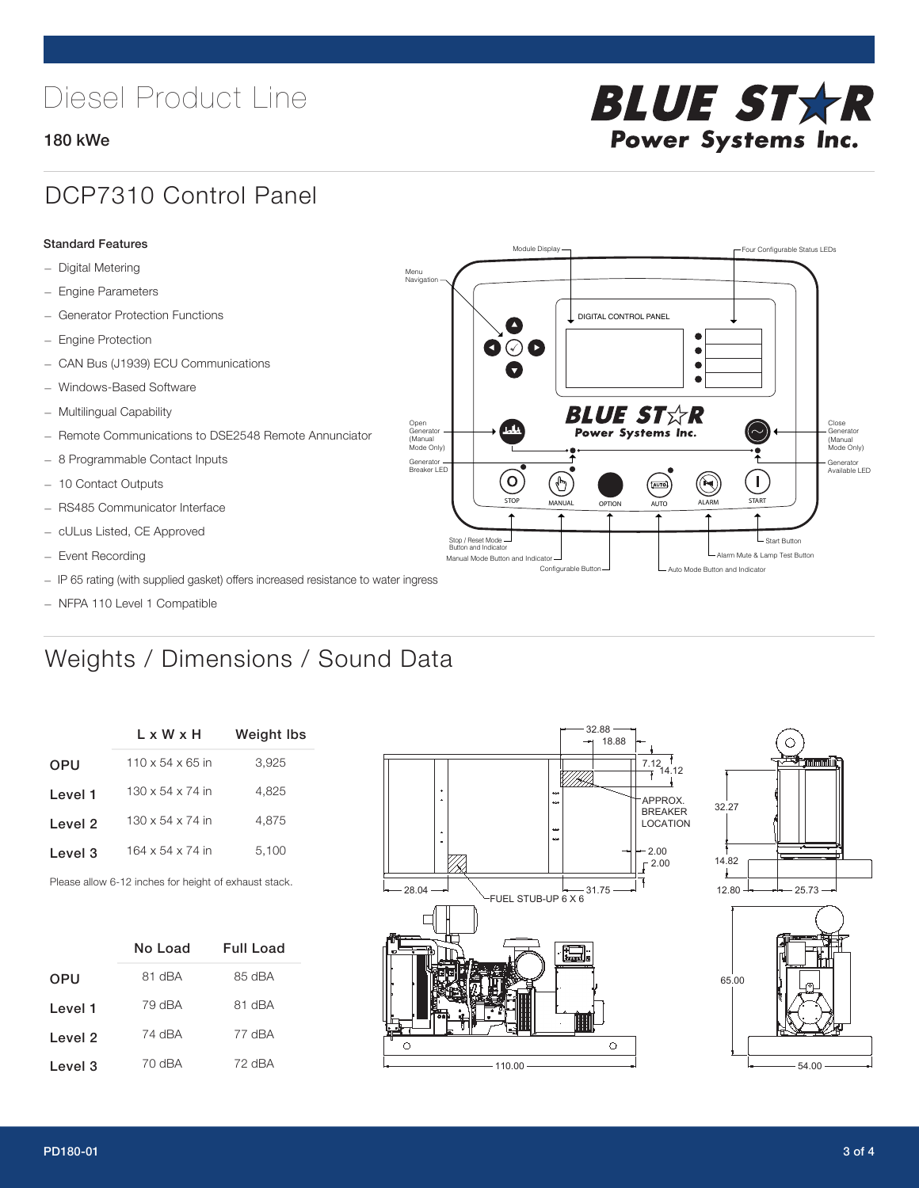# Diesel Product Line

#### 180 kWe



### DCP7310 Control Panel

#### Standard Features

- Digital Metering
- Engine Parameters
- Generator Protection Functions
- Engine Protection
- CAN Bus (J1939) ECU Communications
- Windows-Based Software
- Multilingual Capability
- Remote Communications to DSE2548 Remote Annunciator
- 8 Programmable Contact Inputs
- 10 Contact Outputs
- RS485 Communicator Interface
- cULus Listed, CE Approved
- Event Recording
- IP 65 rating (with supplied gasket) offers increased resistance to water ingress
- NFPA 110 Level 1 Compatible

## Weights / Dimensions / Sound Data

|            | $L \times W \times H$        | <b>Weight lbs</b> |
|------------|------------------------------|-------------------|
| <b>OPU</b> | $110 \times 54 \times 65$ in | 3,925             |
| Level 1    | $130 \times 54 \times 74$ in | 4.825             |
| Level 2    | $130 \times 54 \times 74$ in | 4.875             |
| Level 3    | $164 \times 54 \times 74$ in | 5,100             |
|            |                              |                   |

Please allow 6-12 inches for height of exhaust stack.

|            | No Load | Full Load |
|------------|---------|-----------|
| <b>OPU</b> | 81 dBA  | 85 dBA    |
| Level 1    | 79 dBA  | 81 dBA    |
| Level 2    | 74 dBA  | 77 dBA    |
| Level 3    | 70 dBA  | 72 dBA    |